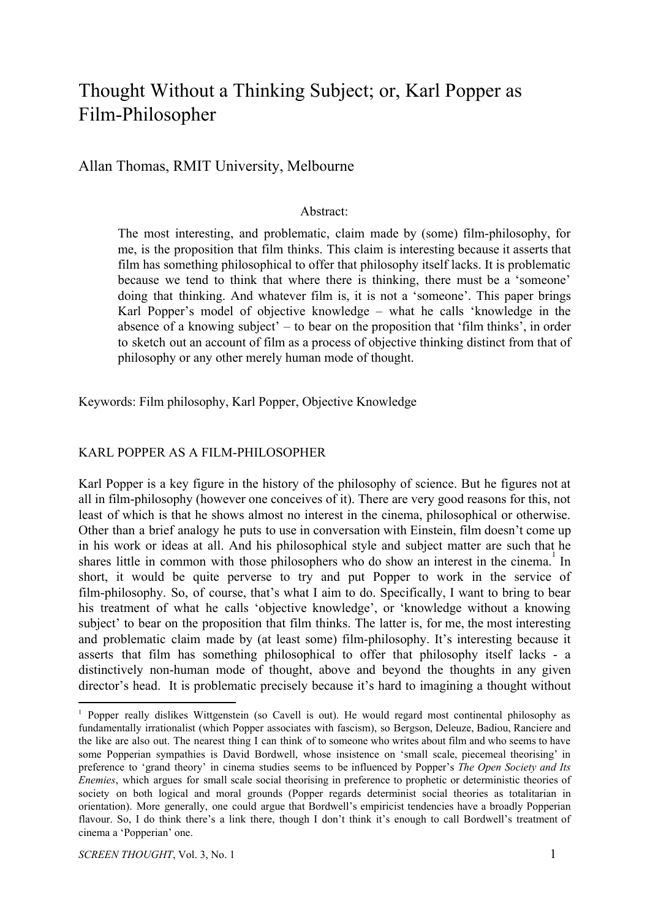# Thought Without a Thinking Subject; or, Karl Popper as Film-Philosopher

Allan Thomas, RMIT University, Melbourne

### Abstract:

The most interesting, and problematic, claim made by (some) film-philosophy, for me, is the proposition that film thinks. This claim is interesting because it asserts that film has something philosophical to offer that philosophy itself lacks. It is problematic because we tend to think that where there is thinking, there must be a 'someone' doing that thinking. And whatever film is, it is not a 'someone'. This paper brings Karl Popper's model of objective knowledge – what he calls 'knowledge in the absence of a knowing subject' – to bear on the proposition that 'film thinks', in order to sketch out an account of film as a process of objective thinking distinct from that of philosophy or any other merely human mode of thought.

Keywords: Film philosophy, Karl Popper, Objective Knowledge

## KARL POPPER AS A FILM-PHILOSOPHER

Karl Popper is a key figure in the history of the philosophy of science. But he figures not at all in film-philosophy (however one conceives of it). There are very good reasons for this, not least of which is that he shows almost no interest in the cinema, philosophical or otherwise. Other than a brief analogy he puts to use in conversation with Einstein, film doesn't come up in his work or ideas at all. And his philosophical style and subject matter are such that he shares little in common with those philosophers who do show an interest in the cinema.<sup>1</sup> In short, it would be quite perverse to try and put Popper to work in the service of film-philosophy. So, of course, that's what I aim to do. Specifically, I want to bring to bear his treatment of what he calls 'objective knowledge', or 'knowledge without a knowing subject' to bear on the proposition that film thinks. The latter is, for me, the most interesting and problematic claim made by (at least some) film-philosophy. It's interesting because it asserts that film has something philosophical to offer that philosophy itself lacks - a distinctively non-human mode of thought, above and beyond the thoughts in any given director's head. It is problematic precisely because it's hard to imagining a thought without

<sup>&</sup>lt;sup>1</sup> Popper really dislikes Wittgenstein (so Cavell is out). He would regard most continental philosophy as fundamentally irrationalist (which Popper associates with fascism), so Bergson, Deleuze, Badiou, Ranciere and the like are also out. The nearest thing I can think of to someone who writes about film and who seems to have some Popperian sympathies is David Bordwell, whose insistence on 'small scale, piecemeal theorising' in preference to 'grand theory' in cinema studies seems to be influenced by Popper's *The Open Society and Its Enemies*, which argues for small scale social theorising in preference to prophetic or deterministic theories of society on both logical and moral grounds (Popper regards determinist social theories as totalitarian in orientation). More generally, one could argue that Bordwell's empiricist tendencies have a broadly Popperian flavour. So, I do think there's a link there, though I don't think it's enough to call Bordwell's treatment of cinema a 'Popperian' one.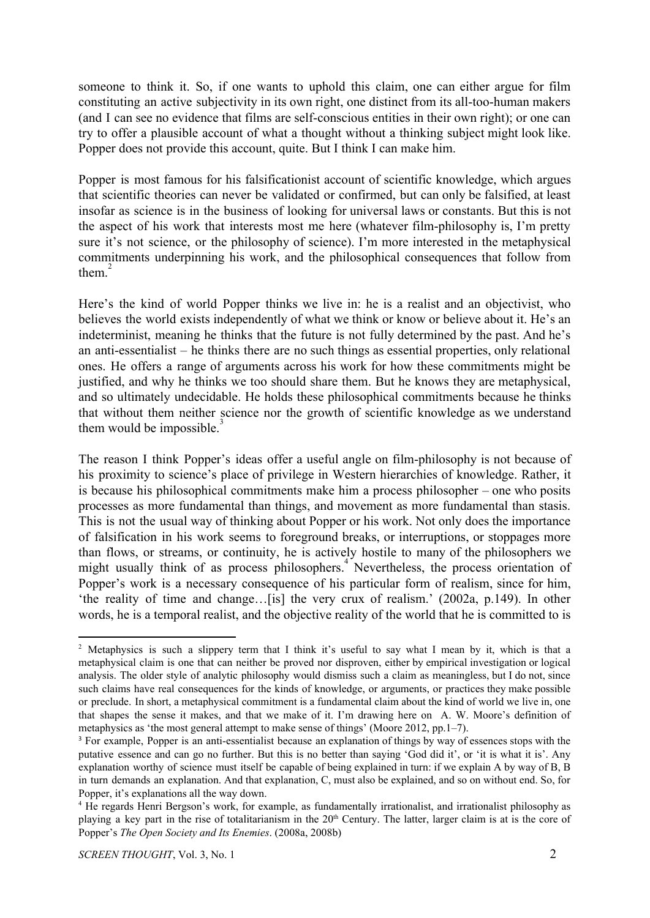someone to think it. So, if one wants to uphold this claim, one can either argue for film constituting an active subjectivity in its own right, one distinct from its all-too-human makers (and I can see no evidence that films are self-conscious entities in their own right); or one can try to offer a plausible account of what a thought without a thinking subject might look like. Popper does not provide this account, quite. But I think I can make him.

Popper is most famous for his falsificationist account of scientific knowledge, which argues that scientific theories can never be validated or confirmed, but can only be falsified, at least insofar as science is in the business of looking for universal laws or constants. But this is not the aspect of his work that interests most me here (whatever film-philosophy is, I'm pretty sure it's not science, or the philosophy of science). I'm more interested in the metaphysical commitments underpinning his work, and the philosophical consequences that follow from them. $2$ 

Here's the kind of world Popper thinks we live in: he is a realist and an objectivist, who believes the world exists independently of what we think or know or believe about it. He's an indeterminist, meaning he thinks that the future is not fully determined by the past. And he's an anti-essentialist – he thinks there are no such things as essential properties, only relational ones. He offers a range of arguments across his work for how these commitments might be justified, and why he thinks we too should share them. But he knows they are metaphysical, and so ultimately undecidable. He holds these philosophical commitments because he thinks that without them neither science nor the growth of scientific knowledge as we understand them would be impossible.

The reason I think Popper's ideas offer a useful angle on film-philosophy is not because of his proximity to science's place of privilege in Western hierarchies of knowledge. Rather, it is because his philosophical commitments make him a process philosopher – one who posits processes as more fundamental than things, and movement as more fundamental than stasis. This is not the usual way of thinking about Popper or his work. Not only does the importance of falsification in his work seems to foreground breaks, or interruptions, or stoppages more than flows, or streams, or continuity, he is actively hostile to many of the philosophers we might usually think of as process philosophers.<sup>4</sup> Nevertheless, the process orientation of Popper's work is a necessary consequence of his particular form of realism, since for him, 'the reality of time and change…[is] the very crux of realism.' (2002a, p.149). In other words, he is a temporal realist, and the objective reality of the world that he is committed to is

<sup>&</sup>lt;sup>2</sup> Metaphysics is such a slippery term that I think it's useful to say what I mean by it, which is that a metaphysical claim is one that can neither be proved nor disproven, either by empirical investigation or logical analysis. The older style of analytic philosophy would dismiss such a claim as meaningless, but I do not, since such claims have real consequences for the kinds of knowledge, or arguments, or practices they make possible or preclude. In short, a metaphysical commitment is a fundamental claim about the kind of world we live in, one that shapes the sense it makes, and that we make of it. I'm drawing here on A. W. Moore's definition of metaphysics as 'the most general attempt to make sense of things' (Moore 2012, pp.1–7).

<sup>3</sup> For example, Popper is an anti-essentialist because an explanation of things by way of essences stops with the putative essence and can go no further. But this is no better than saying 'God did it', or 'it is what it is'. Any explanation worthy of science must itself be capable of being explained in turn: if we explain A by way of B, B in turn demands an explanation. And that explanation, C, must also be explained, and so on without end. So, for Popper, it's explanations all the way down.

<sup>4</sup> He regards Henri Bergson's work, for example, as fundamentally irrationalist, and irrationalist philosophy as playing a key part in the rise of totalitarianism in the  $20<sup>th</sup>$  Century. The latter, larger claim is at is the core of Popper's *The Open Society and Its Enemies*. (2008a, 2008b)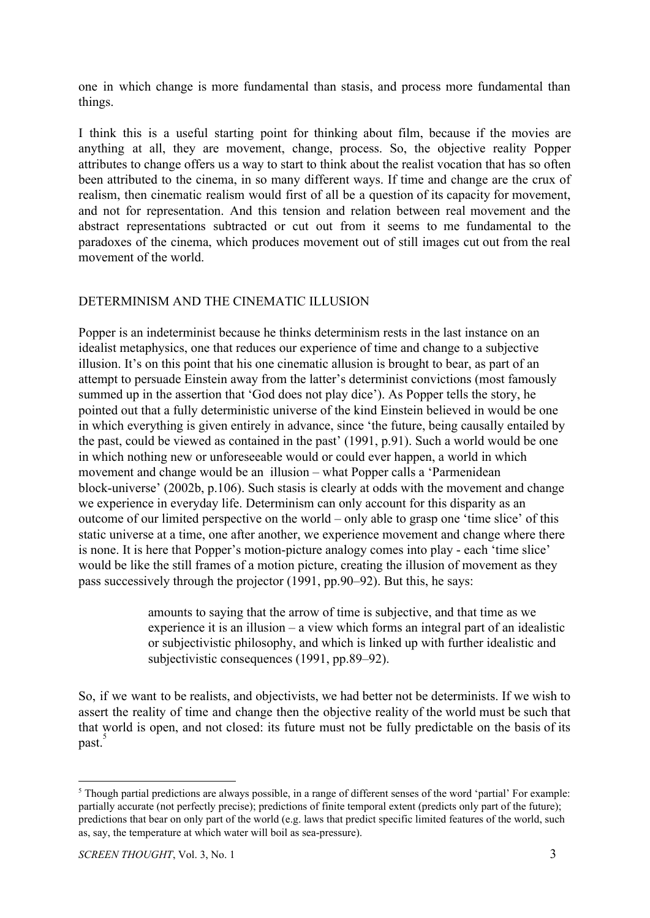one in which change is more fundamental than stasis, and process more fundamental than things.

I think this is a useful starting point for thinking about film, because if the movies are anything at all, they are movement, change, process. So, the objective reality Popper attributes to change offers us a way to start to think about the realist vocation that has so often been attributed to the cinema, in so many different ways. If time and change are the crux of realism, then cinematic realism would first of all be a question of its capacity for movement, and not for representation. And this tension and relation between real movement and the abstract representations subtracted or cut out from it seems to me fundamental to the paradoxes of the cinema, which produces movement out of still images cut out from the real movement of the world.

## DETERMINISM AND THE CINEMATIC ILLUSION

Popper is an indeterminist because he thinks determinism rests in the last instance on an idealist metaphysics, one that reduces our experience of time and change to a subjective illusion. It's on this point that his one cinematic allusion is brought to bear, as part of an attempt to persuade Einstein away from the latter's determinist convictions (most famously summed up in the assertion that 'God does not play dice'). As Popper tells the story, he pointed out that a fully deterministic universe of the kind Einstein believed in would be one in which everything is given entirely in advance, since 'the future, being causally entailed by the past, could be viewed as contained in the past' (1991, p.91). Such a world would be one in which nothing new or unforeseeable would or could ever happen, a world in which movement and change would be an illusion – what Popper calls a 'Parmenidean block-universe' (2002b, p.106). Such stasis is clearly at odds with the movement and change we experience in everyday life. Determinism can only account for this disparity as an outcome of our limited perspective on the world – only able to grasp one 'time slice' of this static universe at a time, one after another, we experience movement and change where there is none. It is here that Popper's motion-picture analogy comes into play - each 'time slice' would be like the still frames of a motion picture, creating the illusion of movement as they pass successively through the projector (1991, pp.90–92). But this, he says:

> amounts to saying that the arrow of time is subjective, and that time as we experience it is an illusion – a view which forms an integral part of an idealistic or subjectivistic philosophy, and which is linked up with further idealistic and subjectivistic consequences (1991, pp.89–92).

So, if we want to be realists, and objectivists, we had better not be determinists. If we wish to assert the reality of time and change then the objective reality of the world must be such that that world is open, and not closed: its future must not be fully predictable on the basis of its past. 5

<sup>&</sup>lt;sup>5</sup> Though partial predictions are always possible, in a range of different senses of the word 'partial' For example: partially accurate (not perfectly precise); predictions of finite temporal extent (predicts only part of the future); predictions that bear on only part of the world (e.g. laws that predict specific limited features of the world, such as, say, the temperature at which water will boil as sea-pressure).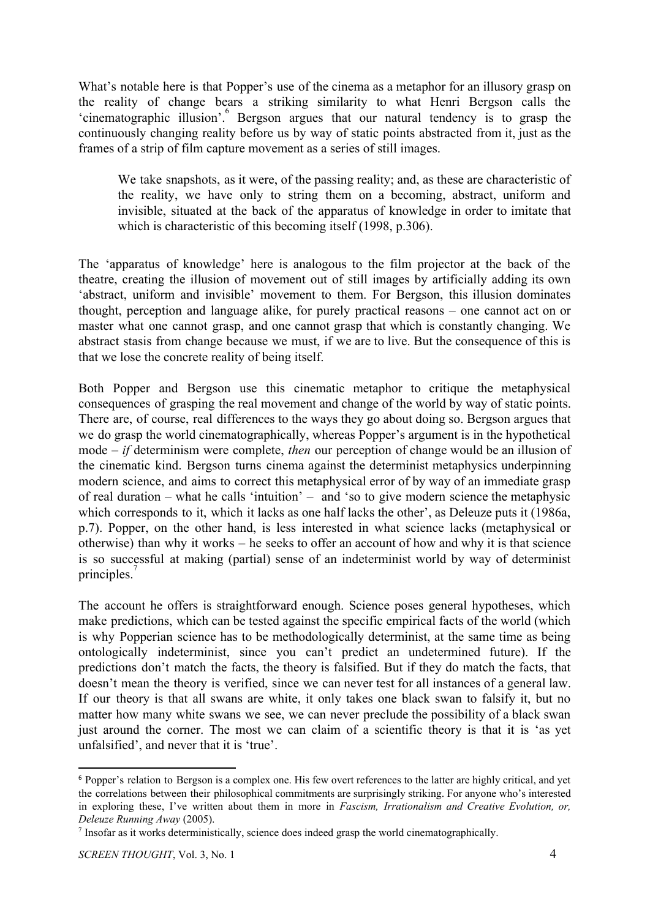What's notable here is that Popper's use of the cinema as a metaphor for an illusory grasp on the reality of change bears a striking similarity to what Henri Bergson calls the 'cinematographic illusion'. Bergson argues that our natural tendency is to grasp the <sup>6</sup> continuously changing reality before us by way of static points abstracted from it, just as the frames of a strip of film capture movement as a series of still images.

We take snapshots, as it were, of the passing reality; and, as these are characteristic of the reality, we have only to string them on a becoming, abstract, uniform and invisible, situated at the back of the apparatus of knowledge in order to imitate that which is characteristic of this becoming itself (1998, p.306).

The 'apparatus of knowledge' here is analogous to the film projector at the back of the theatre, creating the illusion of movement out of still images by artificially adding its own 'abstract, uniform and invisible' movement to them. For Bergson, this illusion dominates thought, perception and language alike, for purely practical reasons – one cannot act on or master what one cannot grasp, and one cannot grasp that which is constantly changing. We abstract stasis from change because we must, if we are to live. But the consequence of this is that we lose the concrete reality of being itself.

Both Popper and Bergson use this cinematic metaphor to critique the metaphysical consequences of grasping the real movement and change of the world by way of static points. There are, of course, real differences to the ways they go about doing so. Bergson argues that we do grasp the world cinematographically, whereas Popper's argument is in the hypothetical mode – *if* determinism were complete, *then* our perception of change would be an illusion of the cinematic kind. Bergson turns cinema against the determinist metaphysics underpinning modern science, and aims to correct this metaphysical error of by way of an immediate grasp of real duration – what he calls 'intuition' – and 'so to give modern science the metaphysic which corresponds to it, which it lacks as one half lacks the other', as Deleuze puts it (1986a, p.7). Popper, on the other hand, is less interested in what science lacks (metaphysical or otherwise) than why it works – he seeks to offer an account of how and why it is that science is so successful at making (partial) sense of an indeterminist world by way of determinist principles.<sup>7</sup>

The account he offers is straightforward enough. Science poses general hypotheses, which make predictions, which can be tested against the specific empirical facts of the world (which is why Popperian science has to be methodologically determinist, at the same time as being ontologically indeterminist, since you can't predict an undetermined future). If the predictions don't match the facts, the theory is falsified. But if they do match the facts, that doesn't mean the theory is verified, since we can never test for all instances of a general law. If our theory is that all swans are white, it only takes one black swan to falsify it, but no matter how many white swans we see, we can never preclude the possibility of a black swan just around the corner. The most we can claim of a scientific theory is that it is 'as yet unfalsified', and never that it is 'true'.

<sup>6</sup> Popper's relation to Bergson is a complex one. His few overt references to the latter are highly critical, and yet the correlations between their philosophical commitments are surprisingly striking. For anyone who's interested in exploring these, I've written about them in more in *Fascism, Irrationalism and Creative Evolution, or, Deleuze Running Away* (2005).

<sup>&</sup>lt;sup>7</sup> Insofar as it works deterministically, science does indeed grasp the world cinematographically.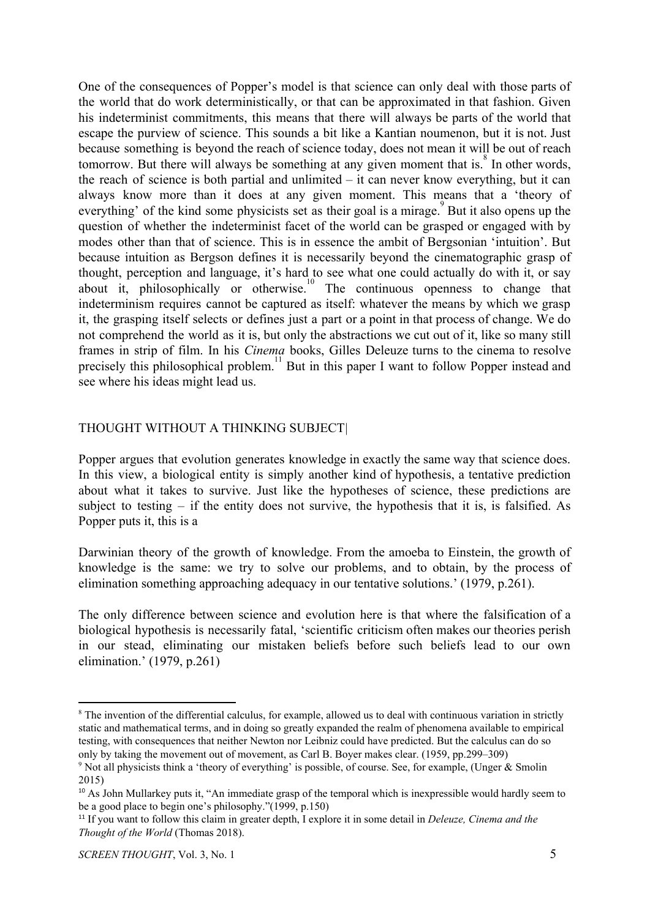One of the consequences of Popper's model is that science can only deal with those parts of the world that do work deterministically, or that can be approximated in that fashion. Given his indeterminist commitments, this means that there will always be parts of the world that escape the purview of science. This sounds a bit like a Kantian noumenon, but it is not. Just because something is beyond the reach of science today, does not mean it will be out of reach tomorrow. But there will always be something at any given moment that is.<sup> $8$ </sup> In other words, the reach of science is both partial and unlimited  $-$  it can never know everything, but it can always know more than it does at any given moment. This means that a 'theory of everything' of the kind some physicists set as their goal is a mirage. But it also opens up the question of whether the indeterminist facet of the world can be grasped or engaged with by modes other than that of science. This is in essence the ambit of Bergsonian 'intuition'. But because intuition as Bergson defines it is necessarily beyond the cinematographic grasp of thought, perception and language, it's hard to see what one could actually do with it, or say about it, philosophically or otherwise.<sup>10</sup> The continuous openness to change that indeterminism requires cannot be captured as itself: whatever the means by which we grasp it, the grasping itself selects or defines just a part or a point in that process of change. We do not comprehend the world as it is, but only the abstractions we cut out of it, like so many still frames in strip of film. In his *Cinema* books, Gilles Deleuze turns to the cinema to resolve precisely this philosophical problem.<sup>11</sup> But in this paper I want to follow Popper instead and see where his ideas might lead us.

### THOUGHT WITHOUT A THINKING SUBJECT*|*

Popper argues that evolution generates knowledge in exactly the same way that science does. In this view, a biological entity is simply another kind of hypothesis, a tentative prediction about what it takes to survive. Just like the hypotheses of science, these predictions are subject to testing – if the entity does not survive, the hypothesis that it is, is falsified. As Popper puts it, this is a

Darwinian theory of the growth of knowledge. From the amoeba to Einstein, the growth of knowledge is the same: we try to solve our problems, and to obtain, by the process of elimination something approaching adequacy in our tentative solutions.' (1979, p.261).

The only difference between science and evolution here is that where the falsification of a biological hypothesis is necessarily fatal, 'scientific criticism often makes our theories perish in our stead, eliminating our mistaken beliefs before such beliefs lead to our own elimination.' (1979, p.261)

<sup>&</sup>lt;sup>8</sup> The invention of the differential calculus, for example, allowed us to deal with continuous variation in strictly static and mathematical terms, and in doing so greatly expanded the realm of phenomena available to empirical testing, with consequences that neither Newton nor Leibniz could have predicted. But the calculus can do so only by taking the movement out of movement, as Carl B. Boyer makes clear. (1959, pp.299–309)

<sup>9</sup> Not all physicists think a 'theory of everything' is possible, of course. See, for example, (Unger & Smolin 2015)

<sup>&</sup>lt;sup>10</sup> As John Mullarkey puts it, "An immediate grasp of the temporal which is inexpressible would hardly seem to be a good place to begin one's philosophy."(1999, p.150)

<sup>11</sup> If you want to follow this claim in greater depth, I explore it in some detail in *Deleuze, Cinema and the Thought of the World* (Thomas 2018).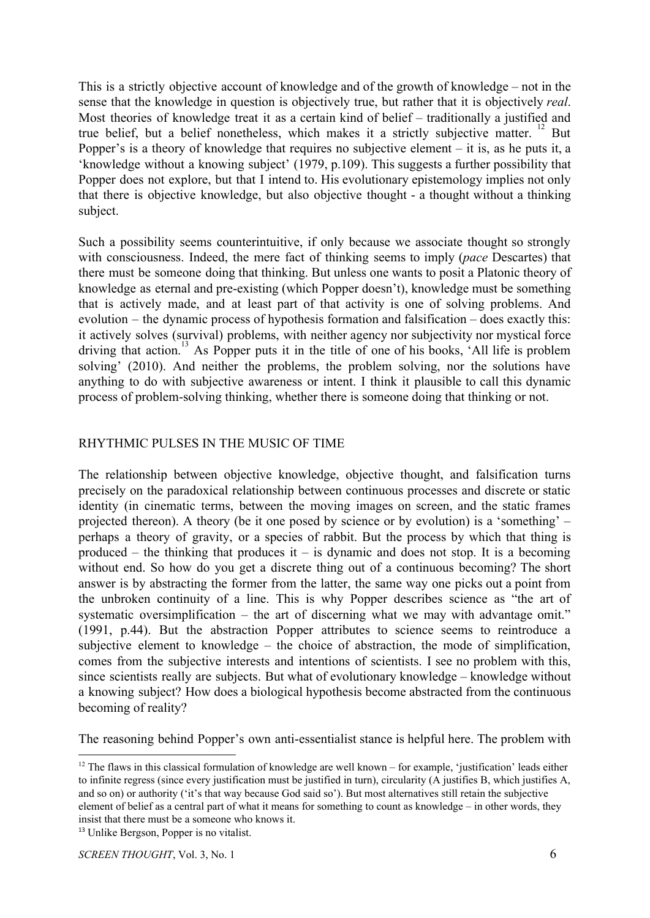This is a strictly objective account of knowledge and of the growth of knowledge – not in the sense that the knowledge in question is objectively true, but rather that it is objectively *real*. Most theories of knowledge treat it as a certain kind of belief – traditionally a justified and true belief, but a belief nonetheless, which makes it a strictly subjective matter.  $\frac{12}{12}$  But Popper's is a theory of knowledge that requires no subjective element – it is, as he puts it, a 'knowledge without a knowing subject' (1979, p.109). This suggests a further possibility that Popper does not explore, but that I intend to. His evolutionary epistemology implies not only that there is objective knowledge, but also objective thought - a thought without a thinking subject.

Such a possibility seems counterintuitive, if only because we associate thought so strongly with consciousness. Indeed, the mere fact of thinking seems to imply (*pace* Descartes) that there must be someone doing that thinking. But unless one wants to posit a Platonic theory of knowledge as eternal and pre-existing (which Popper doesn't), knowledge must be something that is actively made, and at least part of that activity is one of solving problems. And evolution – the dynamic process of hypothesis formation and falsification – does exactly this: it actively solves (survival) problems, with neither agency nor subjectivity nor mystical force driving that action.<sup>13</sup> As Popper puts it in the title of one of his books, 'All life is problem solving' (2010). And neither the problems, the problem solving, nor the solutions have anything to do with subjective awareness or intent. I think it plausible to call this dynamic process of problem-solving thinking, whether there is someone doing that thinking or not.

## RHYTHMIC PULSES IN THE MUSIC OF TIME

The relationship between objective knowledge, objective thought, and falsification turns precisely on the paradoxical relationship between continuous processes and discrete or static identity (in cinematic terms, between the moving images on screen, and the static frames projected thereon). A theory (be it one posed by science or by evolution) is a 'something' – perhaps a theory of gravity, or a species of rabbit. But the process by which that thing is produced – the thinking that produces it – is dynamic and does not stop. It is a becoming without end. So how do you get a discrete thing out of a continuous becoming? The short answer is by abstracting the former from the latter, the same way one picks out a point from the unbroken continuity of a line. This is why Popper describes science as "the art of systematic oversimplification – the art of discerning what we may with advantage omit." (1991, p.44). But the abstraction Popper attributes to science seems to reintroduce a subjective element to knowledge – the choice of abstraction, the mode of simplification, comes from the subjective interests and intentions of scientists. I see no problem with this, since scientists really are subjects. But what of evolutionary knowledge – knowledge without a knowing subject? How does a biological hypothesis become abstracted from the continuous becoming of reality?

The reasoning behind Popper's own anti-essentialist stance is helpful here. The problem with

<sup>&</sup>lt;sup>12</sup> The flaws in this classical formulation of knowledge are well known – for example, 'justification' leads either to infinite regress (since every justification must be justified in turn), circularity (A justifies B, which justifies A, and so on) or authority ('it's that way because God said so'). But most alternatives still retain the subjective element of belief as a central part of what it means for something to count as knowledge – in other words, they insist that there must be a someone who knows it.

<sup>13</sup> Unlike Bergson, Popper is no vitalist.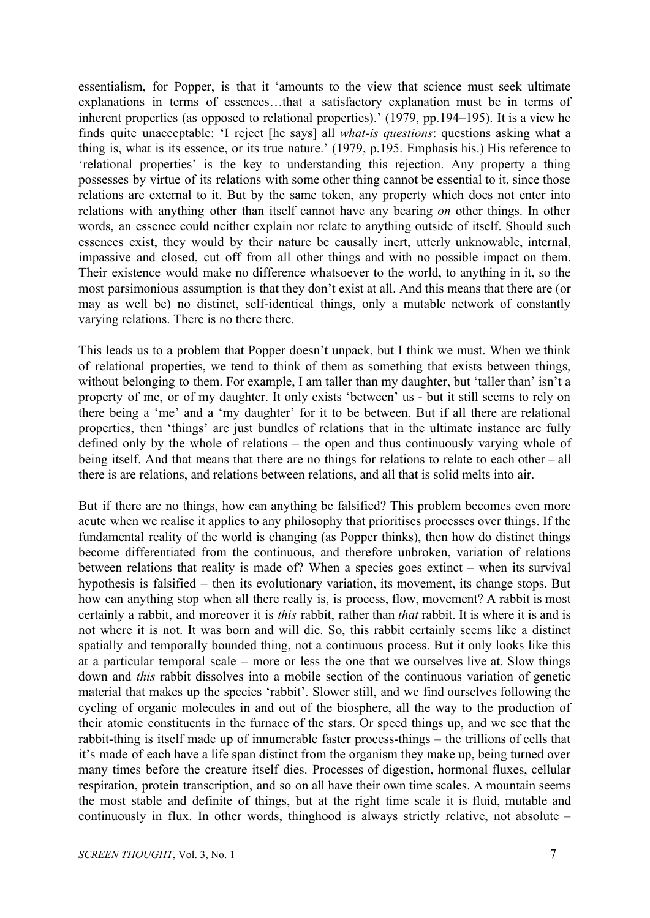essentialism, for Popper, is that it 'amounts to the view that science must seek ultimate explanations in terms of essences…that a satisfactory explanation must be in terms of inherent properties (as opposed to relational properties).' (1979, pp.194–195). It is a view he finds quite unacceptable: 'I reject [he says] all *what-is questions*: questions asking what a thing is, what is its essence, or its true nature.' (1979, p.195. Emphasis his.) His reference to 'relational properties' is the key to understanding this rejection. Any property a thing possesses by virtue of its relations with some other thing cannot be essential to it, since those relations are external to it. But by the same token, any property which does not enter into relations with anything other than itself cannot have any bearing *on* other things. In other words, an essence could neither explain nor relate to anything outside of itself. Should such essences exist, they would by their nature be causally inert, utterly unknowable, internal, impassive and closed, cut off from all other things and with no possible impact on them. Their existence would make no difference whatsoever to the world, to anything in it, so the most parsimonious assumption is that they don't exist at all. And this means that there are (or may as well be) no distinct, self-identical things, only a mutable network of constantly varying relations. There is no there there.

This leads us to a problem that Popper doesn't unpack, but I think we must. When we think of relational properties, we tend to think of them as something that exists between things, without belonging to them. For example, I am taller than my daughter, but 'taller than' isn't a property of me, or of my daughter. It only exists 'between' us - but it still seems to rely on there being a 'me' and a 'my daughter' for it to be between. But if all there are relational properties, then 'things' are just bundles of relations that in the ultimate instance are fully defined only by the whole of relations – the open and thus continuously varying whole of being itself. And that means that there are no things for relations to relate to each other – all there is are relations, and relations between relations, and all that is solid melts into air.

But if there are no things, how can anything be falsified? This problem becomes even more acute when we realise it applies to any philosophy that prioritises processes over things. If the fundamental reality of the world is changing (as Popper thinks), then how do distinct things become differentiated from the continuous, and therefore unbroken, variation of relations between relations that reality is made of? When a species goes extinct – when its survival hypothesis is falsified – then its evolutionary variation, its movement, its change stops. But how can anything stop when all there really is, is process, flow, movement? A rabbit is most certainly a rabbit, and moreover it is *this* rabbit, rather than *that* rabbit. It is where it is and is not where it is not. It was born and will die. So, this rabbit certainly seems like a distinct spatially and temporally bounded thing, not a continuous process. But it only looks like this at a particular temporal scale – more or less the one that we ourselves live at. Slow things down and *this* rabbit dissolves into a mobile section of the continuous variation of genetic material that makes up the species 'rabbit'. Slower still, and we find ourselves following the cycling of organic molecules in and out of the biosphere, all the way to the production of their atomic constituents in the furnace of the stars. Or speed things up, and we see that the rabbit-thing is itself made up of innumerable faster process-things – the trillions of cells that it's made of each have a life span distinct from the organism they make up, being turned over many times before the creature itself dies. Processes of digestion, hormonal fluxes, cellular respiration, protein transcription, and so on all have their own time scales. A mountain seems the most stable and definite of things, but at the right time scale it is fluid, mutable and continuously in flux. In other words, thinghood is always strictly relative, not absolute –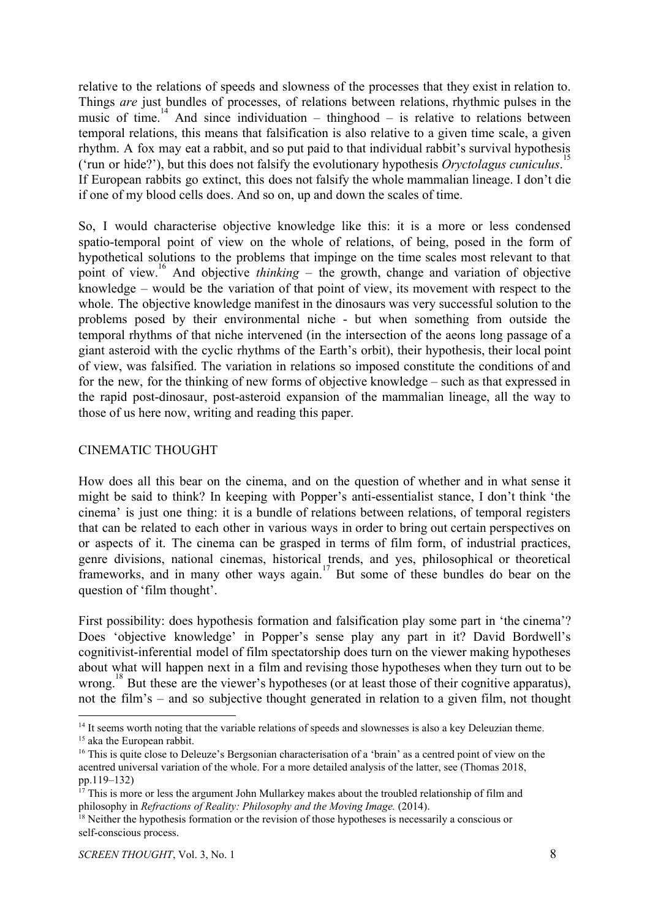relative to the relations of speeds and slowness of the processes that they exist in relation to. Things *are* just bundles of processes, of relations between relations, rhythmic pulses in the music of time.<sup>14</sup> And since individuation – thinghood – is relative to relations between temporal relations, this means that falsification is also relative to a given time scale, a given rhythm. A fox may eat a rabbit, and so put paid to that individual rabbit's survival hypothesis ('run or hide?'), but this does not falsify the evolutionary hypothesis *Oryctolagus cuniculus*. 15 If European rabbits go extinct, this does not falsify the whole mammalian lineage. I don't die if one of my blood cells does. And so on, up and down the scales of time.

So, I would characterise objective knowledge like this: it is a more or less condensed spatio-temporal point of view on the whole of relations, of being, posed in the form of hypothetical solutions to the problems that impinge on the time scales most relevant to that point of view.<sup>16</sup> And objective *thinking* – the growth, change and variation of objective knowledge – would be the variation of that point of view, its movement with respect to the whole. The objective knowledge manifest in the dinosaurs was very successful solution to the problems posed by their environmental niche - but when something from outside the temporal rhythms of that niche intervened (in the intersection of the aeons long passage of a giant asteroid with the cyclic rhythms of the Earth's orbit), their hypothesis, their local point of view, was falsified. The variation in relations so imposed constitute the conditions of and for the new, for the thinking of new forms of objective knowledge – such as that expressed in the rapid post-dinosaur, post-asteroid expansion of the mammalian lineage, all the way to those of us here now, writing and reading this paper.

## CINEMATIC THOUGHT

How does all this bear on the cinema, and on the question of whether and in what sense it might be said to think? In keeping with Popper's anti-essentialist stance, I don't think 'the cinema' is just one thing: it is a bundle of relations between relations, of temporal registers that can be related to each other in various ways in order to bring out certain perspectives on or aspects of it. The cinema can be grasped in terms of film form, of industrial practices, genre divisions, national cinemas, historical trends, and yes, philosophical or theoretical frameworks, and in many other ways again.<sup>17</sup> But some of these bundles do bear on the question of 'film thought'.

First possibility: does hypothesis formation and falsification play some part in 'the cinema'? Does 'objective knowledge' in Popper's sense play any part in it? David Bordwell's cognitivist-inferential model of film spectatorship does turn on the viewer making hypotheses about what will happen next in a film and revising those hypotheses when they turn out to be wrong.<sup>18</sup> But these are the viewer's hypotheses (or at least those of their cognitive apparatus), not the film's – and so subjective thought generated in relation to a given film, not thought

<sup>&</sup>lt;sup>14</sup> It seems worth noting that the variable relations of speeds and slownesses is also a key Deleuzian theme. <sup>15</sup> aka the European rabbit.

<sup>&</sup>lt;sup>16</sup> This is quite close to Deleuze's Bergsonian characterisation of a 'brain' as a centred point of view on the acentred universal variation of the whole. For a more detailed analysis of the latter, see (Thomas 2018, pp.119–132)

 $17$  This is more or less the argument John Mullarkey makes about the troubled relationship of film and philosophy in *Refractions of Reality: Philosophy and the Moving Image.* (2014).

<sup>&</sup>lt;sup>18</sup> Neither the hypothesis formation or the revision of those hypotheses is necessarily a conscious or self-conscious process.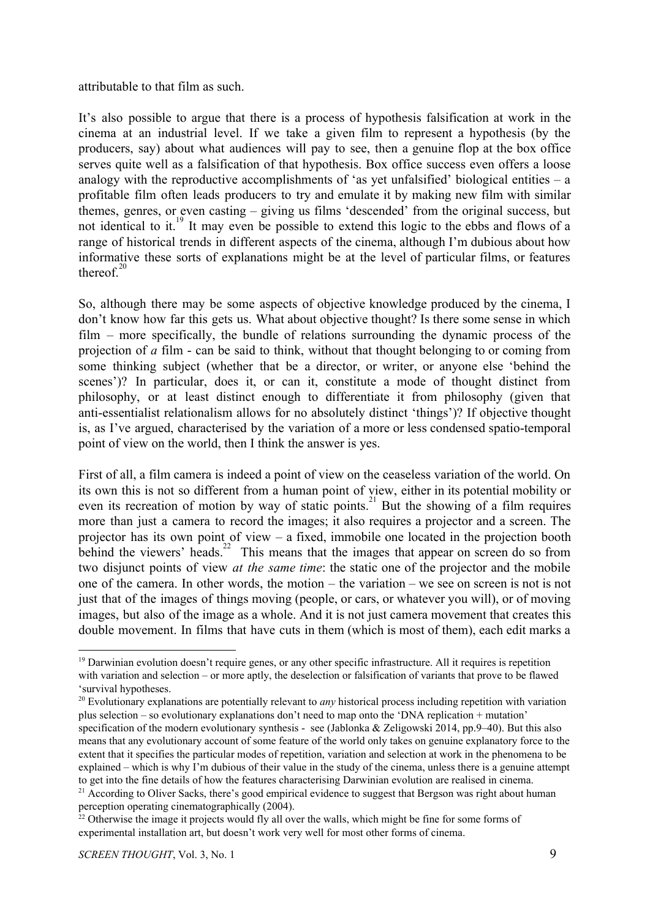#### attributable to that film as such.

It's also possible to argue that there is a process of hypothesis falsification at work in the cinema at an industrial level. If we take a given film to represent a hypothesis (by the producers, say) about what audiences will pay to see, then a genuine flop at the box office serves quite well as a falsification of that hypothesis. Box office success even offers a loose analogy with the reproductive accomplishments of 'as yet unfalsified' biological entities  $-$  a profitable film often leads producers to try and emulate it by making new film with similar themes, genres, or even casting – giving us films 'descended' from the original success, but not identical to it.<sup>19</sup> It may even be possible to extend this logic to the ebbs and flows of a range of historical trends in different aspects of the cinema, although I'm dubious about how informative these sorts of explanations might be at the level of particular films, or features thereof. $20$ 

So, although there may be some aspects of objective knowledge produced by the cinema, I don't know how far this gets us. What about objective thought? Is there some sense in which film – more specifically, the bundle of relations surrounding the dynamic process of the projection of *a* film - can be said to think, without that thought belonging to or coming from some thinking subject (whether that be a director, or writer, or anyone else 'behind the scenes')? In particular, does it, or can it, constitute a mode of thought distinct from philosophy, or at least distinct enough to differentiate it from philosophy (given that anti-essentialist relationalism allows for no absolutely distinct 'things')? If objective thought is, as I've argued, characterised by the variation of a more or less condensed spatio-temporal point of view on the world, then I think the answer is yes.

First of all, a film camera is indeed a point of view on the ceaseless variation of the world. On its own this is not so different from a human point of view, either in its potential mobility or even its recreation of motion by way of static points.<sup>21</sup> But the showing of a film requires more than just a camera to record the images; it also requires a projector and a screen. The projector has its own point of view – a fixed, immobile one located in the projection booth behind the viewers' heads.<sup>22</sup> This means that the images that appear on screen do so from two disjunct points of view *at the same time*: the static one of the projector and the mobile one of the camera. In other words, the motion – the variation – we see on screen is not is not just that of the images of things moving (people, or cars, or whatever you will), or of moving images, but also of the image as a whole. And it is not just camera movement that creates this double movement. In films that have cuts in them (which is most of them), each edit marks a

<sup>&</sup>lt;sup>19</sup> Darwinian evolution doesn't require genes, or any other specific infrastructure. All it requires is repetition with variation and selection – or more aptly, the deselection or falsification of variants that prove to be flawed 'survival hypotheses.

<sup>20</sup> Evolutionary explanations are potentially relevant to *any* historical process including repetition with variation plus selection – so evolutionary explanations don't need to map onto the 'DNA replication + mutation' specification of the modern evolutionary synthesis - see (Jablonka & Zeligowski 2014, pp.9–40). But this also means that any evolutionary account of some feature of the world only takes on genuine explanatory force to the extent that it specifies the particular modes of repetition, variation and selection at work in the phenomena to be explained – which is why I'm dubious of their value in the study of the cinema, unless there is a genuine attempt to get into the fine details of how the features characterising Darwinian evolution are realised in cinema.

 $21$  According to Oliver Sacks, there's good empirical evidence to suggest that Bergson was right about human perception operating cinematographically (2004).

<sup>&</sup>lt;sup>22</sup> Otherwise the image it projects would fly all over the walls, which might be fine for some forms of experimental installation art, but doesn't work very well for most other forms of cinema.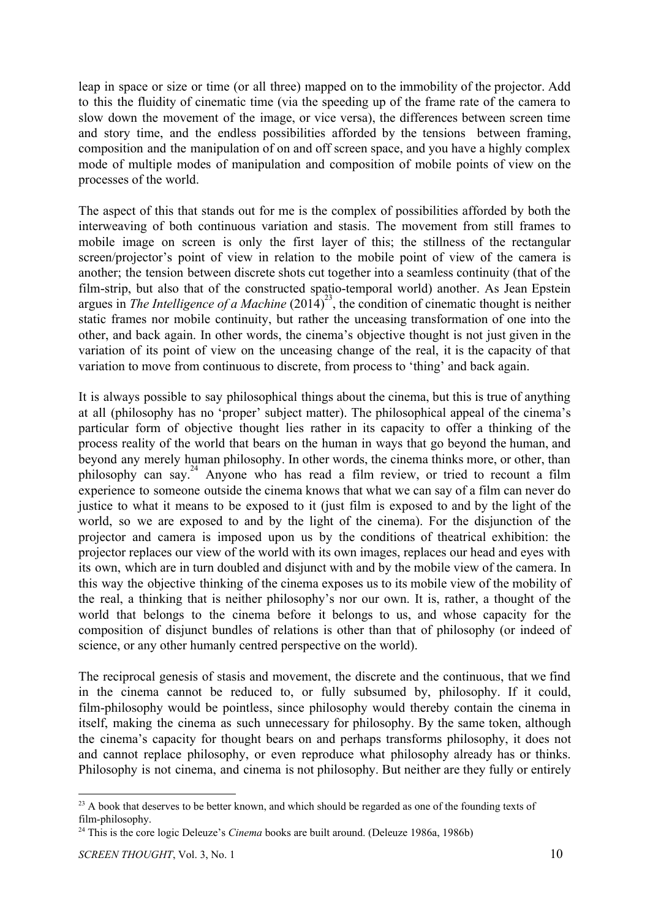leap in space or size or time (or all three) mapped on to the immobility of the projector. Add to this the fluidity of cinematic time (via the speeding up of the frame rate of the camera to slow down the movement of the image, or vice versa), the differences between screen time and story time, and the endless possibilities afforded by the tensions between framing, composition and the manipulation of on and off screen space, and you have a highly complex mode of multiple modes of manipulation and composition of mobile points of view on the processes of the world.

The aspect of this that stands out for me is the complex of possibilities afforded by both the interweaving of both continuous variation and stasis. The movement from still frames to mobile image on screen is only the first layer of this; the stillness of the rectangular screen/projector's point of view in relation to the mobile point of view of the camera is another; the tension between discrete shots cut together into a seamless continuity (that of the film-strip, but also that of the constructed spatio-temporal world) another. As Jean Epstein argues in *The Intelligence of a Machine*  $(2014)^{23}$ , the condition of cinematic thought is neither static frames nor mobile continuity, but rather the unceasing transformation of one into the other, and back again. In other words, the cinema's objective thought is not just given in the variation of its point of view on the unceasing change of the real, it is the capacity of that variation to move from continuous to discrete, from process to 'thing' and back again.

It is always possible to say philosophical things about the cinema, but this is true of anything at all (philosophy has no 'proper' subject matter). The philosophical appeal of the cinema's particular form of objective thought lies rather in its capacity to offer a thinking of the process reality of the world that bears on the human in ways that go beyond the human, and beyond any merely human philosophy. In other words, the cinema thinks more, or other, than philosophy can say.<sup>24</sup> Anyone who has read a film review, or tried to recount a film experience to someone outside the cinema knows that what we can say of a film can never do justice to what it means to be exposed to it (just film is exposed to and by the light of the world, so we are exposed to and by the light of the cinema). For the disjunction of the projector and camera is imposed upon us by the conditions of theatrical exhibition: the projector replaces our view of the world with its own images, replaces our head and eyes with its own, which are in turn doubled and disjunct with and by the mobile view of the camera. In this way the objective thinking of the cinema exposes us to its mobile view of the mobility of the real, a thinking that is neither philosophy's nor our own. It is, rather, a thought of the world that belongs to the cinema before it belongs to us, and whose capacity for the composition of disjunct bundles of relations is other than that of philosophy (or indeed of science, or any other humanly centred perspective on the world).

The reciprocal genesis of stasis and movement, the discrete and the continuous, that we find in the cinema cannot be reduced to, or fully subsumed by, philosophy. If it could, film-philosophy would be pointless, since philosophy would thereby contain the cinema in itself, making the cinema as such unnecessary for philosophy. By the same token, although the cinema's capacity for thought bears on and perhaps transforms philosophy, it does not and cannot replace philosophy, or even reproduce what philosophy already has or thinks. Philosophy is not cinema, and cinema is not philosophy. But neither are they fully or entirely

<sup>&</sup>lt;sup>23</sup> A book that deserves to be better known, and which should be regarded as one of the founding texts of film-philosophy.

<sup>24</sup> This is the core logic Deleuze's *Cinema* books are built around. (Deleuze 1986a, 1986b)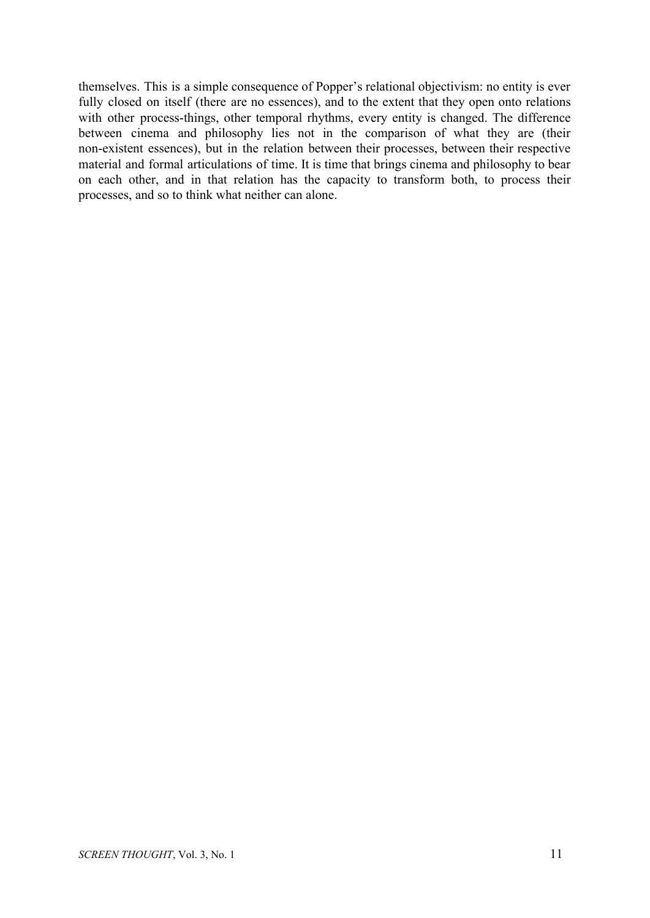themselves. This is a simple consequence of Popper's relational objectivism: no entity is ever fully closed on itself (there are no essences), and to the extent that they open onto relations with other process-things, other temporal rhythms, every entity is changed. The difference between cinema and philosophy lies not in the comparison of what they are (their non-existent essences), but in the relation between their processes, between their respective material and formal articulations of time. It is time that brings cinema and philosophy to bear on each other, and in that relation has the capacity to transform both, to process their processes, and so to think what neither can alone.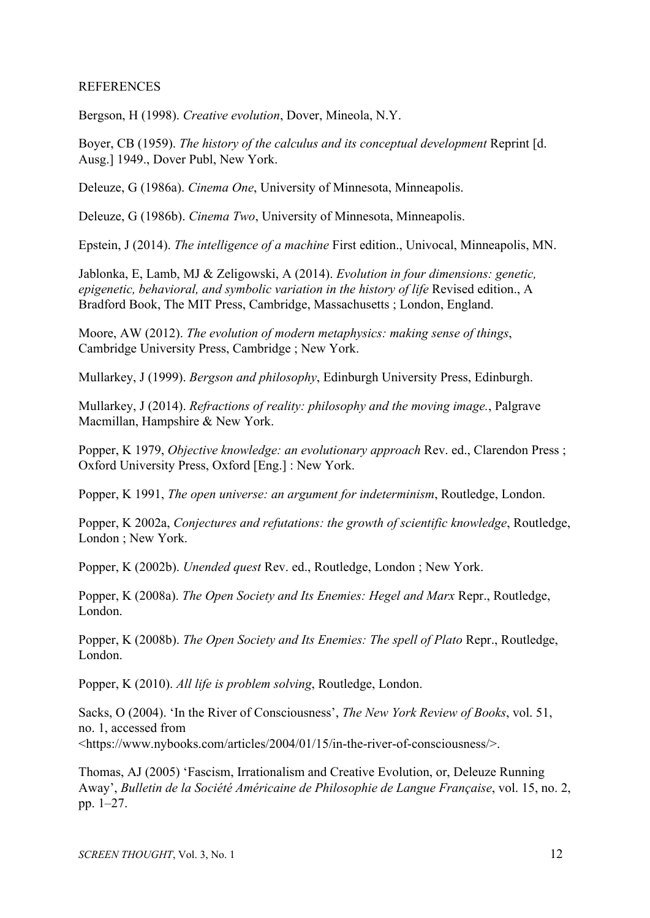### REFERENCES

Bergson, H (1998). *Creative evolution*, Dover, Mineola, N.Y.

Boyer, CB (1959). *The history of the calculus and its conceptual development* Reprint [d. Ausg.] 1949., Dover Publ, New York.

Deleuze, G (1986a). *Cinema One*, University of Minnesota, Minneapolis.

Deleuze, G (1986b). *Cinema Two*, University of Minnesota, Minneapolis.

Epstein, J (2014). *The intelligence of a machine* First edition., Univocal, Minneapolis, MN.

Jablonka, E, Lamb, MJ & Zeligowski, A (2014). *Evolution in four dimensions: genetic, epigenetic, behavioral, and symbolic variation in the history of life* Revised edition., A Bradford Book, The MIT Press, Cambridge, Massachusetts ; London, England.

Moore, AW (2012). *The evolution of modern metaphysics: making sense of things*, Cambridge University Press, Cambridge ; New York.

Mullarkey, J (1999). *Bergson and philosophy*, Edinburgh University Press, Edinburgh.

Mullarkey, J (2014). *Refractions of reality: philosophy and the moving image.*, Palgrave Macmillan, Hampshire & New York.

Popper, K 1979, *Objective knowledge: an evolutionary approach* Rev. ed., Clarendon Press ; Oxford University Press, Oxford [Eng.] : New York.

Popper, K 1991, *The open universe: an argument for indeterminism*, Routledge, London.

Popper, K 2002a, *Conjectures and refutations: the growth of scientific knowledge*, Routledge, London ; New York.

Popper, K (2002b). *Unended quest* Rev. ed., Routledge, London ; New York.

Popper, K (2008a). *The Open Society and Its Enemies: Hegel and Marx* Repr., Routledge, London.

Popper, K (2008b). *The Open Society and Its Enemies: The spell of Plato* Repr., Routledge, London.

Popper, K (2010). *All life is problem solving*, Routledge, London.

Sacks, O (2004). 'In the River of Consciousness', *The New York Review of Books*, vol. 51, no. 1, accessed from <https://www.nybooks.com/articles/2004/01/15/in-the-river-of-consciousness/>.

Thomas, AJ (2005) 'Fascism, Irrationalism and Creative Evolution, or, Deleuze Running Away', *Bulletin de la Société Américaine de Philosophie de Langue Française*, vol. 15, no. 2, pp. 1–27.